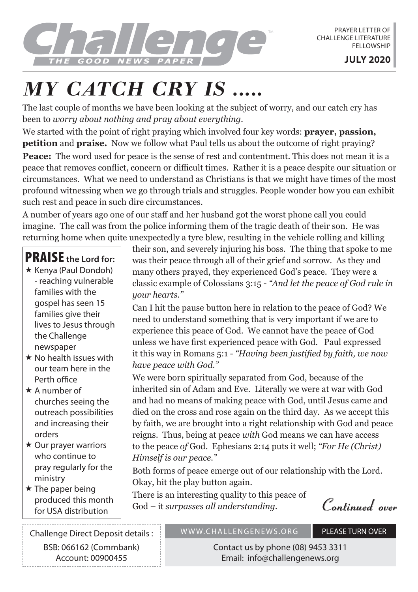

## *MY CATCH CRY IS .....*

The last couple of months we have been looking at the subject of worry, and our catch cry has been to *worry about nothing and pray about everything.*

We started with the point of right praying which involved four key words: **prayer, passion, petition** and **praise.** Now we follow what Paul tells us about the outcome of right praying? **Peace:** The word used for peace is the sense of rest and contentment. This does not mean it is a peace that removes conflict, concern or difficult times. Rather it is a peace despite our situation or circumstances. What we need to understand as Christians is that we might have times of the most profound witnessing when we go through trials and struggles. People wonder how you can exhibit such rest and peace in such dire circumstances.

A number of years ago one of our staff and her husband got the worst phone call you could imagine. The call was from the police informing them of the tragic death of their son. He was returning home when quite unexpectedly a tyre blew, resulting in the vehicle rolling and killing

## PRAISE **the Lord for:**

- $\star$  Kenya (Paul Dondoh) - reaching vulnerable families with the gospel has seen 15 families give their lives to Jesus through the Challenge newspaper
- $\star$  No health issues with our team here in the Perth office
- $\star$  A number of churches seeing the outreach possibilities and increasing their orders
- $\star$  Our prayer warriors who continue to pray regularly for the ministry
- $\star$  The paper being produced this month for USA distribution

their son, and severely injuring his boss. The thing that spoke to me was their peace through all of their grief and sorrow. As they and many others prayed, they experienced God's peace. They were a classic example of Colossians 3:15 - *"And let the peace of God rule in your hearts."*

Can I hit the pause button here in relation to the peace of God? We need to understand something that is very important if we are to experience this peace of God. We cannot have the peace of God unless we have first experienced peace with God. Paul expressed it this way in Romans 5:1 - *"Having been justified by faith, we now have peace with God."*

We were born spiritually separated from God, because of the inherited sin of Adam and Eve. Literally we were at war with God and had no means of making peace with God, until Jesus came and died on the cross and rose again on the third day. As we accept this by faith, we are brought into a right relationship with God and peace reigns. Thus, being at peace *with* God means we can have access to the peace *of* God. Ephesians 2:14 puts it well; *"For He (Christ) Himself is our peace."* 

Both forms of peace emerge out of our relationship with the Lord. Okay, hit the play button again.

There is an interesting quality to this peace of God – it *surpasses all understanding.*

**Continued over**

Challenge Direct Deposit details : BSB: 066162 (Commbank) Account: 00900455

## WWW.CHALLENGENEWS.ORG PLEASE TURN OVER

Contact us by phone (08) 9453 3311 Email: info@challengenews.org